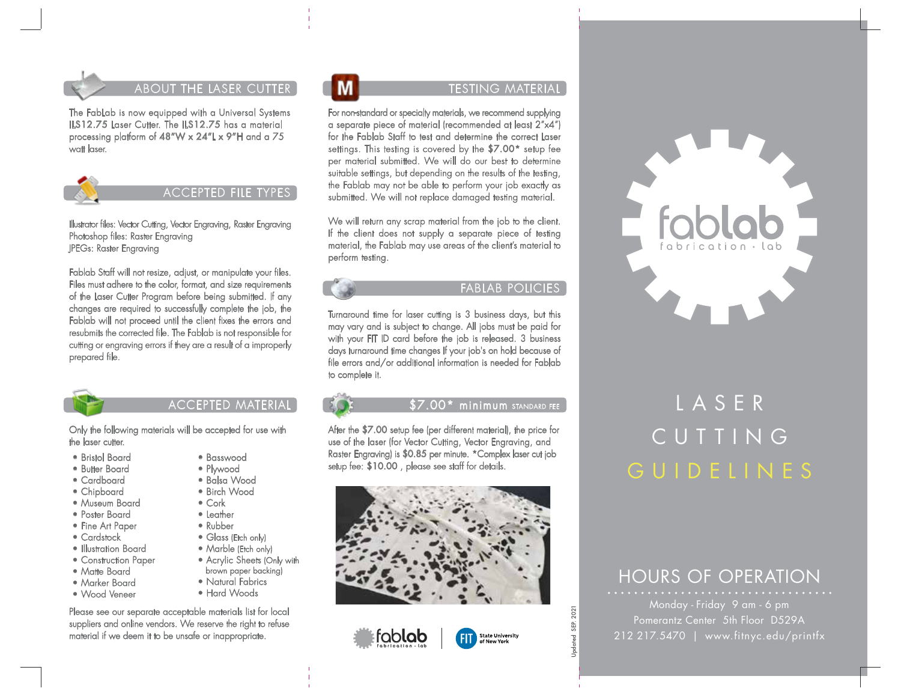

The FabLab is now equipped with a Universal Systems ILS12.75 Laser Cutter. The ILS12.75 has a material processing platform of 48"W x 24"L x 9"H and a 75 watt laser.



Illustrator files: Vector Cutting, Vector Engraving, Raster Engraving Photoshop files: Raster Engraving JPEGs: Raster Engraving

Fablab Staff will not resize, adjust, or manipulate your files. Files must adhere to the color, format, and size requirements of the Laser Cutter Program before being submitted. If any changes are required to successfully complete the job, the Fablab will not proceed until the client fixes the errors and resubmits the corrected file. The Fablab is not responsible for cutting or engraving errors if they are a result of a improperly prepared file.



## ACCEPTED MATERIAL

• Basswood • Plywood • Balsa Wood • Birch Wood

Only the following materials will be accepted for use with the laser cutter.

- Bristol Board
- Butter Board
- Cardboard
- Chipboard
- Museum Board
- Poster Board
- Fine Art Paper
- Cardstock
- Illustration Board
- Construction Paper
- Matte Board
- Marker Board
- Wood Veneer
- Cork • Leather • Rubber
- Glass (Etch only)
- Marble (Etch only)
- Acrylic Sheets (Only with
- brown paper backing)
- Natural Fabrics • Hard Woods
- 

Please see our separate acceptable materials list for local suppliers and online vendors. We reserve the right to refuse material if we deem it to be unsafe or inappropriate.

For non-standard or specialty materials, we recommend supplying a separate piece of material (recommended at least 2"x4") for the Fablab Staff to test and determine the correct Laser settings. This testing is covered by the \$7.00\* setup fee per material submitted. We will do our best to determine suitable settings, but depending on the results of the testing, the Fablab may not be able to perform your job exactly as submitted. We will not replace damaged testing material.

We will return any scrap material from the job to the client. If the client does not supply a separate piece of testing material, the Fablab may use areas of the client's material to perform testing.

### FABLAB POLICIES

Turnaround time for laser cutting is 3 business days, but this may vary and is subject to change. All jobs must be paid for with your FIT ID card before the job is released. 3 business days turnaround time changes If your job's on hold because of file errors and/or additional information is needed for Fablab to complete it.

#### $\$7.00*$  minimum standard fee

After the \$7.00 setup fee (per different material), the price for use of the laser (for Vector Cutting, Vector Engraving, and Raster Engraving) is \$0.85 per minute. \*Complex laser cut job setup fee: \$10.00 , please see staff for details.







# LASER CUTTING GUIDELINES

## HOURS OF OPERATION

Pomerantz Center 5th Floor D529A 212 217.5470 | www.fitnyc.edu/printfx

2021 Updated SEP. 2021 SEP.